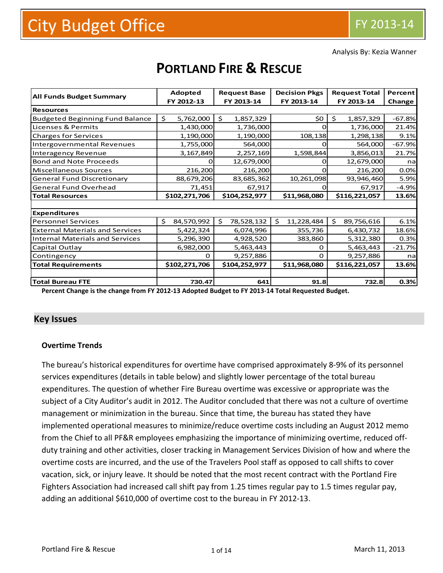Analysis By: Kezia Wanner

|                                        | <b>Adopted</b>   | <b>Request Base</b> | <b>Decision Pkgs</b> | <b>Request Total</b> | Percent  |
|----------------------------------------|------------------|---------------------|----------------------|----------------------|----------|
| <b>All Funds Budget Summary</b>        | FY 2012-13       | FY 2013-14          | FY 2013-14           | FY 2013-14           | Change   |
| <b>Resources</b>                       |                  |                     |                      |                      |          |
| <b>Budgeted Beginning Fund Balance</b> | \$<br>5,762,000  | \$<br>1,857,329     | \$0                  | \$<br>1,857,329      | $-67.8%$ |
| Licenses & Permits                     | 1,430,000        | 1,736,000           |                      | 1,736,000            | 21.4%    |
| <b>Charges for Services</b>            | 1,190,000        | 1,190,000           | 108,138              | 1,298,138            | 9.1%     |
| Intergovernmental Revenues             | 1,755,000        | 564,000             |                      | 564,000              | $-67.9%$ |
| <b>Interagency Revenue</b>             | 3,167,849        | 2,257,169           | 1,598,844            | 3,856,013            | 21.7%    |
| <b>Bond and Note Proceeds</b>          |                  | 12,679,000          | $\mathbf{\Omega}$    | 12,679,000           | nal      |
| Miscellaneous Sources                  | 216,200          | 216,200             | n                    | 216,200              | 0.0%     |
| <b>General Fund Discretionary</b>      | 88,679,206       | 83,685,362          | 10,261,098           | 93,946,460           | 5.9%     |
| <b>General Fund Overhead</b>           | 71,451           | 67,917              |                      | 67,917               | $-4.9%$  |
| <b>Total Resources</b>                 | \$102,271,706    | \$104,252,977       | \$11,968,080         | \$116,221,057        | 13.6%    |
|                                        |                  |                     |                      |                      |          |
| <b>Expenditures</b>                    |                  |                     |                      |                      |          |
| <b>Personnel Services</b>              | 84,570,992<br>Ś. | Ś.<br>78,528,132    | \$<br>11,228,484     | \$<br>89,756,616     | 6.1%     |
| <b>External Materials and Services</b> | 5,422,324        | 6,074,996           | 355,736              | 6,430,732            | 18.6%    |
| <b>Internal Materials and Services</b> | 5,296,390        | 4,928,520           | 383,860              | 5,312,380            | 0.3%     |
| Capital Outlay                         | 6,982,000        | 5,463,443           | 0                    | 5,463,443            | $-21.7%$ |
| Contingency                            | $\Omega$         | 9,257,886           | 0                    | 9,257,886            | nal      |
| <b>Total Requirements</b>              | \$102,271,706    | \$104,252,977       | \$11,968,080         | \$116,221,057        | 13.6%    |
|                                        |                  |                     |                      |                      |          |
| <b>Total Bureau FTE</b>                | 730.47           | 641                 | 91.8                 | 732.8                | 0.3%     |

# **PORTLAND FIRE & RESCUE**

**Percent Change is the change from FY 2012-13 Adopted Budget to FY 2013-14 Total Requested Budget.**

## **Key Issues**

#### **Overtime Trends**

The bureau's historical expenditures for overtime have comprised approximately 8-9% of its personnel services expenditures (details in table below) and slightly lower percentage of the total bureau expenditures. The question of whether Fire Bureau overtime was excessive or appropriate was the subject of a City Auditor's audit in 2012. The Auditor concluded that there was not a culture of overtime management or minimization in the bureau. Since that time, the bureau has stated they have implemented operational measures to minimize/reduce overtime costs including an August 2012 memo from the Chief to all PF&R employees emphasizing the importance of minimizing overtime, reduced offduty training and other activities, closer tracking in Management Services Division of how and where the overtime costs are incurred, and the use of the Travelers Pool staff as opposed to call shifts to cover vacation, sick, or injury leave. It should be noted that the most recent contract with the Portland Fire Fighters Association had increased call shift pay from 1.25 times regular pay to 1.5 times regular pay, adding an additional \$610,000 of overtime cost to the bureau in FY 2012-13.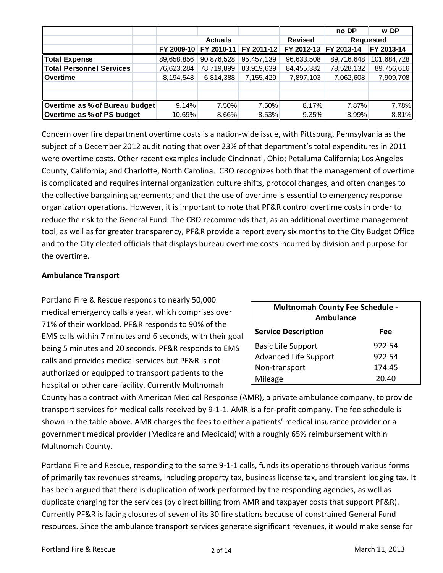|                                 |            |                |            |                | no DP      | w DP        |  |
|---------------------------------|------------|----------------|------------|----------------|------------|-------------|--|
|                                 |            | <b>Actuals</b> |            | <b>Revised</b> | Requested  |             |  |
|                                 | FY 2009-10 | FY 2010-11     | FY 2011-12 | FY 2012-13     | FY 2013-14 | FY 2013-14  |  |
| <b>Total Expense</b>            | 89,658,856 | 90,876,528     | 95.457.139 | 96,633,508     | 89,716,648 | 101,684,728 |  |
| <b>Total Personnel Services</b> | 76,623,284 | 78,719,899     | 83.919.639 | 84,455,382     | 78,528,132 | 89,756,616  |  |
| <b>Overtime</b>                 | 8,194,548  | 6,814,388      | 7,155,429  | 7,897,103      | 7,062,608  | 7,909,708   |  |
|                                 |            |                |            |                |            |             |  |
|                                 |            |                |            |                |            |             |  |
| Overtime as % of Bureau budget  | 9.14%      | 7.50%          | 7.50%      | 8.17%          | 7.87%      | 7.78%       |  |
| Overtime as % of PS budget      | 10.69%     | 8.66%          | 8.53%      | 9.35%          | 8.99%      | 8.81%       |  |

Concern over fire department overtime costs is a nation-wide issue, with Pittsburg, Pennsylvania as the subject of a December 2012 audit noting that over 23% of that department's total expenditures in 2011 were overtime costs. Other recent examples include Cincinnati, Ohio; Petaluma California; Los Angeles County, California; and Charlotte, North Carolina. CBO recognizes both that the management of overtime is complicated and requires internal organization culture shifts, protocol changes, and often changes to the collective bargaining agreements; and that the use of overtime is essential to emergency response organization operations. However, it is important to note that PF&R control overtime costs in order to reduce the risk to the General Fund. The CBO recommends that, as an additional overtime management tool, as well as for greater transparency, PF&R provide a report every six months to the City Budget Office and to the City elected officials that displays bureau overtime costs incurred by division and purpose for the overtime.

## **Ambulance Transport**

Portland Fire & Rescue responds to nearly 50,000 medical emergency calls a year, which comprises over 71% of their workload. PF&R responds to 90% of the EMS calls within 7 minutes and 6 seconds, with their goal being 5 minutes and 20 seconds. PF&R responds to EMS calls and provides medical services but PF&R is not authorized or equipped to transport patients to the hospital or other care facility. Currently Multnomah

| <b>Multnomah County Fee Schedule -</b><br><b>Ambulance</b> |        |  |  |  |  |  |  |  |
|------------------------------------------------------------|--------|--|--|--|--|--|--|--|
| <b>Service Description</b><br>Fee                          |        |  |  |  |  |  |  |  |
| <b>Basic Life Support</b>                                  | 922.54 |  |  |  |  |  |  |  |
| <b>Advanced Life Support</b>                               | 922.54 |  |  |  |  |  |  |  |
| Non-transport                                              | 174.45 |  |  |  |  |  |  |  |
| Mileage                                                    | 20.40  |  |  |  |  |  |  |  |

County has a contract with American Medical Response (AMR), a private ambulance company, to provide transport services for medical calls received by 9-1-1. AMR is a for-profit company. The fee schedule is shown in the table above. AMR charges the fees to either a patients' medical insurance provider or a government medical provider (Medicare and Medicaid) with a roughly 65% reimbursement within Multnomah County.

Portland Fire and Rescue, responding to the same 9-1-1 calls, funds its operations through various forms of primarily tax revenues streams, including property tax, business license tax, and transient lodging tax. It has been argued that there is duplication of work performed by the responding agencies, as well as duplicate charging for the services (by direct billing from AMR and taxpayer costs that support PF&R). Currently PF&R is facing closures of seven of its 30 fire stations because of constrained General Fund resources. Since the ambulance transport services generate significant revenues, it would make sense for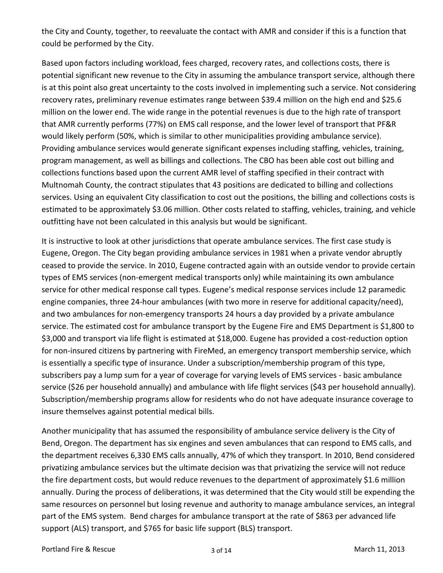the City and County, together, to reevaluate the contact with AMR and consider if this is a function that could be performed by the City.

Based upon factors including workload, fees charged, recovery rates, and collections costs, there is potential significant new revenue to the City in assuming the ambulance transport service, although there is at this point also great uncertainty to the costs involved in implementing such a service. Not considering recovery rates, preliminary revenue estimates range between \$39.4 million on the high end and \$25.6 million on the lower end. The wide range in the potential revenues is due to the high rate of transport that AMR currently performs (77%) on EMS call response, and the lower level of transport that PF&R would likely perform (50%, which is similar to other municipalities providing ambulance service). Providing ambulance services would generate significant expenses including staffing, vehicles, training, program management, as well as billings and collections. The CBO has been able cost out billing and collections functions based upon the current AMR level of staffing specified in their contract with Multnomah County, the contract stipulates that 43 positions are dedicated to billing and collections services. Using an equivalent City classification to cost out the positions, the billing and collections costs is estimated to be approximately \$3.06 million. Other costs related to staffing, vehicles, training, and vehicle outfitting have not been calculated in this analysis but would be significant.

It is instructive to look at other jurisdictions that operate ambulance services. The first case study is Eugene, Oregon. The City began providing ambulance services in 1981 when a private vendor abruptly ceased to provide the service. In 2010, Eugene contracted again with an outside vendor to provide certain types of EMS services (non-emergent medical transports only) while maintaining its own ambulance service for other medical response call types. Eugene's medical response services include 12 paramedic engine companies, three 24-hour ambulances (with two more in reserve for additional capacity/need), and two ambulances for non-emergency transports 24 hours a day provided by a private ambulance service. The estimated cost for ambulance transport by the Eugene Fire and EMS Department is \$1,800 to \$3,000 and transport via life flight is estimated at \$18,000. Eugene has provided a cost-reduction option for non-insured citizens by partnering with FireMed, an emergency transport membership service, which is essentially a specific type of insurance. Under a subscription/membership program of this type, subscribers pay a lump sum for a year of coverage for varying levels of EMS services - basic ambulance service (\$26 per household annually) and ambulance with life flight services (\$43 per household annually). Subscription/membership programs allow for residents who do not have adequate insurance coverage to insure themselves against potential medical bills.

Another municipality that has assumed the responsibility of ambulance service delivery is the City of Bend, Oregon. The department has six engines and seven ambulances that can respond to EMS calls, and the department receives 6,330 EMS calls annually, 47% of which they transport. In 2010, Bend considered privatizing ambulance services but the ultimate decision was that privatizing the service will not reduce the fire department costs, but would reduce revenues to the department of approximately \$1.6 million annually. During the process of deliberations, it was determined that the City would still be expending the same resources on personnel but losing revenue and authority to manage ambulance services, an integral part of the EMS system. Bend charges for ambulance transport at the rate of \$863 per advanced life support (ALS) transport, and \$765 for basic life support (BLS) transport.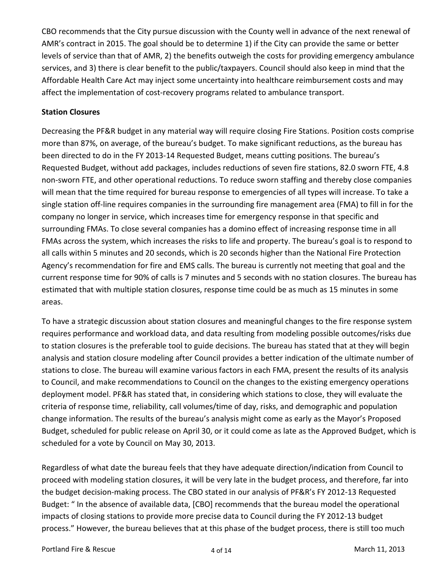CBO recommends that the City pursue discussion with the County well in advance of the next renewal of AMR's contract in 2015. The goal should be to determine 1) if the City can provide the same or better levels of service than that of AMR, 2) the benefits outweigh the costs for providing emergency ambulance services, and 3) there is clear benefit to the public/taxpayers. Council should also keep in mind that the Affordable Health Care Act may inject some uncertainty into healthcare reimbursement costs and may affect the implementation of cost-recovery programs related to ambulance transport.

## **Station Closures**

Decreasing the PF&R budget in any material way will require closing Fire Stations. Position costs comprise more than 87%, on average, of the bureau's budget. To make significant reductions, as the bureau has been directed to do in the FY 2013-14 Requested Budget, means cutting positions. The bureau's Requested Budget, without add packages, includes reductions of seven fire stations, 82.0 sworn FTE, 4.8 non-sworn FTE, and other operational reductions. To reduce sworn staffing and thereby close companies will mean that the time required for bureau response to emergencies of all types will increase. To take a single station off-line requires companies in the surrounding fire management area (FMA) to fill in for the company no longer in service, which increases time for emergency response in that specific and surrounding FMAs. To close several companies has a domino effect of increasing response time in all FMAs across the system, which increases the risks to life and property. The bureau's goal is to respond to all calls within 5 minutes and 20 seconds, which is 20 seconds higher than the National Fire Protection Agency's recommendation for fire and EMS calls. The bureau is currently not meeting that goal and the current response time for 90% of calls is 7 minutes and 5 seconds with no station closures. The bureau has estimated that with multiple station closures, response time could be as much as 15 minutes in some areas.

To have a strategic discussion about station closures and meaningful changes to the fire response system requires performance and workload data, and data resulting from modeling possible outcomes/risks due to station closures is the preferable tool to guide decisions. The bureau has stated that at they will begin analysis and station closure modeling after Council provides a better indication of the ultimate number of stations to close. The bureau will examine various factors in each FMA, present the results of its analysis to Council, and make recommendations to Council on the changes to the existing emergency operations deployment model. PF&R has stated that, in considering which stations to close, they will evaluate the criteria of response time, reliability, call volumes/time of day, risks, and demographic and population change information. The results of the bureau's analysis might come as early as the Mayor's Proposed Budget, scheduled for public release on April 30, or it could come as late as the Approved Budget, which is scheduled for a vote by Council on May 30, 2013.

Regardless of what date the bureau feels that they have adequate direction/indication from Council to proceed with modeling station closures, it will be very late in the budget process, and therefore, far into the budget decision-making process. The CBO stated in our analysis of PF&R's FY 2012-13 Requested Budget: " In the absence of available data, [CBO] recommends that the bureau model the operational impacts of closing stations to provide more precise data to Council during the FY 2012-13 budget process." However, the bureau believes that at this phase of the budget process, there is still too much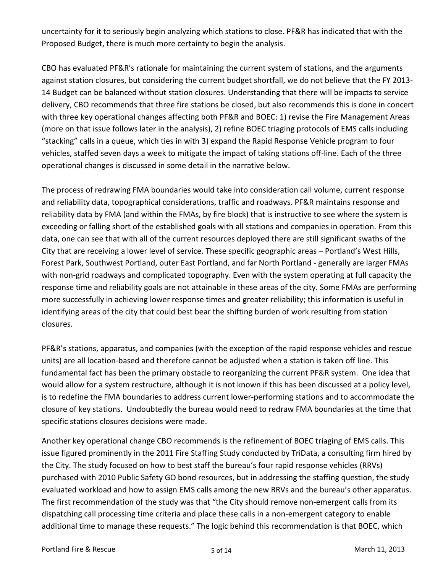uncertainty for it to seriously begin analyzing which stations to close. PF&R has indicated that with the Proposed Budget, there is much more certainty to begin the analysis.

CBO has evaluated PF&R's rationale for maintaining the current system of stations, and the arguments against station closures, but considering the current budget shortfall, we do not believe that the FY 2013- 14 Budget can be balanced without station closures. Understanding that there will be impacts to service delivery, CBO recommends that three fire stations be closed, but also recommends this is done in concert with three key operational changes affecting both PF&R and BOEC: 1) revise the Fire Management Areas (more on that issue follows later in the analysis), 2) refine BOEC triaging protocols of EMS calls including "stacking" calls in a queue, which ties in with 3) expand the Rapid Response Vehicle program to four vehicles, staffed seven days a week to mitigate the impact of taking stations off-line. Each of the three operational changes is discussed in some detail in the narrative below.

The process of redrawing FMA boundaries would take into consideration call volume, current response and reliability data, topographical considerations, traffic and roadways. PF&R maintains response and reliability data by FMA (and within the FMAs, by fire block) that is instructive to see where the system is exceeding or falling short of the established goals with all stations and companies in operation. From this data, one can see that with all of the current resources deployed there are still significant swaths of the City that are receiving a lower level of service. These specific geographic areas – Portland's West Hills, Forest Park, Southwest Portland, outer East Portland, and far North Portland - generally are larger FMAs with non-grid roadways and complicated topography. Even with the system operating at full capacity the response time and reliability goals are not attainable in these areas of the city. Some FMAs are performing more successfully in achieving lower response times and greater reliability; this information is useful in identifying areas of the city that could best bear the shifting burden of work resulting from station closures.

PF&R's stations, apparatus, and companies (with the exception of the rapid response vehicles and rescue units) are all location-based and therefore cannot be adjusted when a station is taken off line. This fundamental fact has been the primary obstacle to reorganizing the current PF&R system. One idea that would allow for a system restructure, although it is not known if this has been discussed at a policy level, is to redefine the FMA boundaries to address current lower-performing stations and to accommodate the closure of key stations. Undoubtedly the bureau would need to redraw FMA boundaries at the time that specific stations closures decisions were made.

Another key operational change CBO recommends is the refinement of BOEC triaging of EMS calls. This issue figured prominently in the 2011 Fire Staffing Study conducted by TriData, a consulting firm hired by the City. The study focused on how to best staff the bureau's four rapid response vehicles (RRVs) purchased with 2010 Public Safety GO bond resources, but in addressing the staffing question, the study evaluated workload and how to assign EMS calls among the new RRVs and the bureau's other apparatus. The first recommendation of the study was that "the City should remove non-emergent calls from its dispatching call processing time criteria and place these calls in a non-emergent category to enable additional time to manage these requests." The logic behind this recommendation is that BOEC, which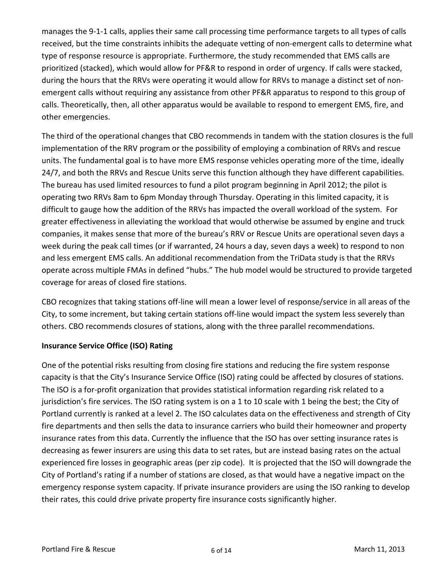manages the 9-1-1 calls, applies their same call processing time performance targets to all types of calls received, but the time constraints inhibits the adequate vetting of non-emergent calls to determine what type of response resource is appropriate. Furthermore, the study recommended that EMS calls are prioritized (stacked), which would allow for PF&R to respond in order of urgency. If calls were stacked, during the hours that the RRVs were operating it would allow for RRVs to manage a distinct set of nonemergent calls without requiring any assistance from other PF&R apparatus to respond to this group of calls. Theoretically, then, all other apparatus would be available to respond to emergent EMS, fire, and other emergencies.

The third of the operational changes that CBO recommends in tandem with the station closures is the full implementation of the RRV program or the possibility of employing a combination of RRVs and rescue units. The fundamental goal is to have more EMS response vehicles operating more of the time, ideally 24/7, and both the RRVs and Rescue Units serve this function although they have different capabilities. The bureau has used limited resources to fund a pilot program beginning in April 2012; the pilot is operating two RRVs 8am to 6pm Monday through Thursday. Operating in this limited capacity, it is difficult to gauge how the addition of the RRVs has impacted the overall workload of the system. For greater effectiveness in alleviating the workload that would otherwise be assumed by engine and truck companies, it makes sense that more of the bureau's RRV or Rescue Units are operational seven days a week during the peak call times (or if warranted, 24 hours a day, seven days a week) to respond to non and less emergent EMS calls. An additional recommendation from the TriData study is that the RRVs operate across multiple FMAs in defined "hubs." The hub model would be structured to provide targeted coverage for areas of closed fire stations.

CBO recognizes that taking stations off-line will mean a lower level of response/service in all areas of the City, to some increment, but taking certain stations off-line would impact the system less severely than others. CBO recommends closures of stations, along with the three parallel recommendations.

## **Insurance Service Office (ISO) Rating**

One of the potential risks resulting from closing fire stations and reducing the fire system response capacity is that the City's Insurance Service Office (ISO) rating could be affected by closures of stations. The ISO is a for-profit organization that provides statistical information regarding risk related to a jurisdiction's fire services. The ISO rating system is on a 1 to 10 scale with 1 being the best; the City of Portland currently is ranked at a level 2. The ISO calculates data on the effectiveness and strength of City fire departments and then sells the data to insurance carriers who build their homeowner and property insurance rates from this data. Currently the influence that the ISO has over setting insurance rates is decreasing as fewer insurers are using this data to set rates, but are instead basing rates on the actual experienced fire losses in geographic areas (per zip code). It is projected that the ISO will downgrade the City of Portland's rating if a number of stations are closed, as that would have a negative impact on the emergency response system capacity. If private insurance providers are using the ISO ranking to develop their rates, this could drive private property fire insurance costs significantly higher.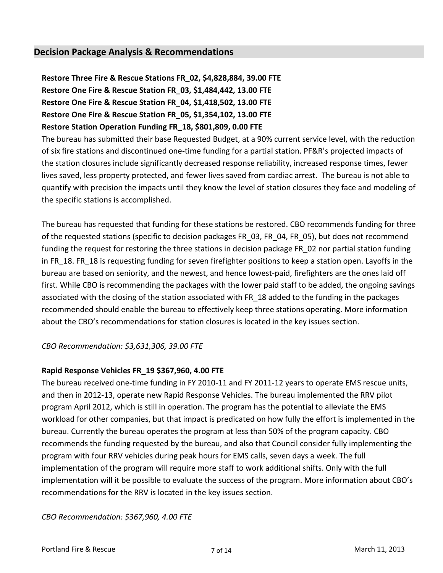## **Decision Package Analysis & Recommendations**

**Restore Three Fire & Rescue Stations FR\_02, \$4,828,884, 39.00 FTE Restore One Fire & Rescue Station FR\_03, \$1,484,442, 13.00 FTE Restore One Fire & Rescue Station FR\_04, \$1,418,502, 13.00 FTE Restore One Fire & Rescue Station FR\_05, \$1,354,102, 13.00 FTE Restore Station Operation Funding FR\_18, \$801,809, 0.00 FTE**

The bureau has submitted their base Requested Budget, at a 90% current service level, with the reduction of six fire stations and discontinued one-time funding for a partial station. PF&R's projected impacts of the station closures include significantly decreased response reliability, increased response times, fewer lives saved, less property protected, and fewer lives saved from cardiac arrest. The bureau is not able to quantify with precision the impacts until they know the level of station closures they face and modeling of the specific stations is accomplished.

The bureau has requested that funding for these stations be restored. CBO recommends funding for three of the requested stations (specific to decision packages FR\_03, FR\_04, FR\_05), but does not recommend funding the request for restoring the three stations in decision package FR 02 nor partial station funding in FR\_18. FR\_18 is requesting funding for seven firefighter positions to keep a station open. Layoffs in the bureau are based on seniority, and the newest, and hence lowest-paid, firefighters are the ones laid off first. While CBO is recommending the packages with the lower paid staff to be added, the ongoing savings associated with the closing of the station associated with FR\_18 added to the funding in the packages recommended should enable the bureau to effectively keep three stations operating. More information about the CBO's recommendations for station closures is located in the key issues section.

*CBO Recommendation: \$3,631,306, 39.00 FTE*

#### **Rapid Response Vehicles FR\_19 \$367,960, 4.00 FTE**

The bureau received one-time funding in FY 2010-11 and FY 2011-12 years to operate EMS rescue units, and then in 2012-13, operate new Rapid Response Vehicles. The bureau implemented the RRV pilot program April 2012, which is still in operation. The program has the potential to alleviate the EMS workload for other companies, but that impact is predicated on how fully the effort is implemented in the bureau. Currently the bureau operates the program at less than 50% of the program capacity. CBO recommends the funding requested by the bureau, and also that Council consider fully implementing the program with four RRV vehicles during peak hours for EMS calls, seven days a week. The full implementation of the program will require more staff to work additional shifts. Only with the full implementation will it be possible to evaluate the success of the program. More information about CBO's recommendations for the RRV is located in the key issues section.

*CBO Recommendation: \$367,960, 4.00 FTE*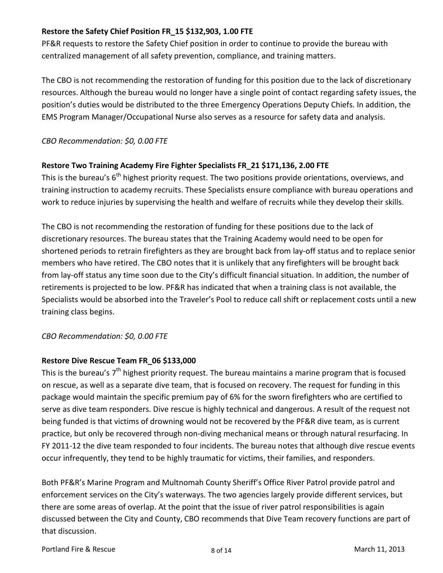## **Restore the Safety Chief Position FR\_15 \$132,903, 1.00 FTE**

PF&R requests to restore the Safety Chief position in order to continue to provide the bureau with centralized management of all safety prevention, compliance, and training matters.

The CBO is not recommending the restoration of funding for this position due to the lack of discretionary resources. Although the bureau would no longer have a single point of contact regarding safety issues, the position's duties would be distributed to the three Emergency Operations Deputy Chiefs. In addition, the EMS Program Manager/Occupational Nurse also serves as a resource for safety data and analysis.

## *CBO Recommendation: \$0, 0.00 FTE*

## **Restore Two Training Academy Fire Fighter Specialists FR\_21 \$171,136, 2.00 FTE**

This is the bureau's 6<sup>th</sup> highest priority request. The two positions provide orientations, overviews, and training instruction to academy recruits. These Specialists ensure compliance with bureau operations and work to reduce injuries by supervising the health and welfare of recruits while they develop their skills.

The CBO is not recommending the restoration of funding for these positions due to the lack of discretionary resources. The bureau states that the Training Academy would need to be open for shortened periods to retrain firefighters as they are brought back from lay-off status and to replace senior members who have retired. The CBO notes that it is unlikely that any firefighters will be brought back from lay-off status any time soon due to the City's difficult financial situation. In addition, the number of retirements is projected to be low. PF&R has indicated that when a training class is not available, the Specialists would be absorbed into the Traveler's Pool to reduce call shift or replacement costs until a new training class begins.

## *CBO Recommendation: \$0, 0.00 FTE*

## **Restore Dive Rescue Team FR\_06 \$133,000**

This is the bureau's 7<sup>th</sup> highest priority request. The bureau maintains a marine program that is focused on rescue, as well as a separate dive team, that is focused on recovery. The request for funding in this package would maintain the specific premium pay of 6% for the sworn firefighters who are certified to serve as dive team responders. Dive rescue is highly technical and dangerous. A result of the request not being funded is that victims of drowning would not be recovered by the PF&R dive team, as is current practice, but only be recovered through non-diving mechanical means or through natural resurfacing. In FY 2011-12 the dive team responded to four incidents. The bureau notes that although dive rescue events occur infrequently, they tend to be highly traumatic for victims, their families, and responders.

Both PF&R's Marine Program and Multnomah County Sheriff's Office River Patrol provide patrol and enforcement services on the City's waterways. The two agencies largely provide different services, but there are some areas of overlap. At the point that the issue of river patrol responsibilities is again discussed between the City and County, CBO recommends that Dive Team recovery functions are part of that discussion.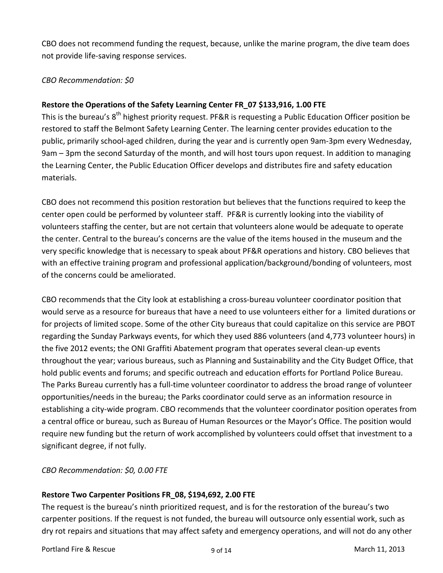CBO does not recommend funding the request, because, unlike the marine program, the dive team does not provide life-saving response services.

## *CBO Recommendation: \$0*

## **Restore the Operations of the Safety Learning Center FR\_07 \$133,916, 1.00 FTE**

This is the bureau's 8<sup>th</sup> highest priority request. PF&R is requesting a Public Education Officer position be restored to staff the Belmont Safety Learning Center. The learning center provides education to the public, primarily school-aged children, during the year and is currently open 9am-3pm every Wednesday, 9am – 3pm the second Saturday of the month, and will host tours upon request. In addition to managing the Learning Center, the Public Education Officer develops and distributes fire and safety education materials.

CBO does not recommend this position restoration but believes that the functions required to keep the center open could be performed by volunteer staff. PF&R is currently looking into the viability of volunteers staffing the center, but are not certain that volunteers alone would be adequate to operate the center. Central to the bureau's concerns are the value of the items housed in the museum and the very specific knowledge that is necessary to speak about PF&R operations and history. CBO believes that with an effective training program and professional application/background/bonding of volunteers, most of the concerns could be ameliorated.

CBO recommends that the City look at establishing a cross-bureau volunteer coordinator position that would serve as a resource for bureaus that have a need to use volunteers either for a limited durations or for projects of limited scope. Some of the other City bureaus that could capitalize on this service are PBOT regarding the Sunday Parkways events, for which they used 886 volunteers (and 4,773 volunteer hours) in the five 2012 events; the ONI Graffiti Abatement program that operates several clean-up events throughout the year; various bureaus, such as Planning and Sustainability and the City Budget Office, that hold public events and forums; and specific outreach and education efforts for Portland Police Bureau. The Parks Bureau currently has a full-time volunteer coordinator to address the broad range of volunteer opportunities/needs in the bureau; the Parks coordinator could serve as an information resource in establishing a city-wide program. CBO recommends that the volunteer coordinator position operates from a central office or bureau, such as Bureau of Human Resources or the Mayor's Office. The position would require new funding but the return of work accomplished by volunteers could offset that investment to a significant degree, if not fully.

## *CBO Recommendation: \$0, 0.00 FTE*

## **Restore Two Carpenter Positions FR\_08, \$194,692, 2.00 FTE**

The request is the bureau's ninth prioritized request, and is for the restoration of the bureau's two carpenter positions. If the request is not funded, the bureau will outsource only essential work, such as dry rot repairs and situations that may affect safety and emergency operations, and will not do any other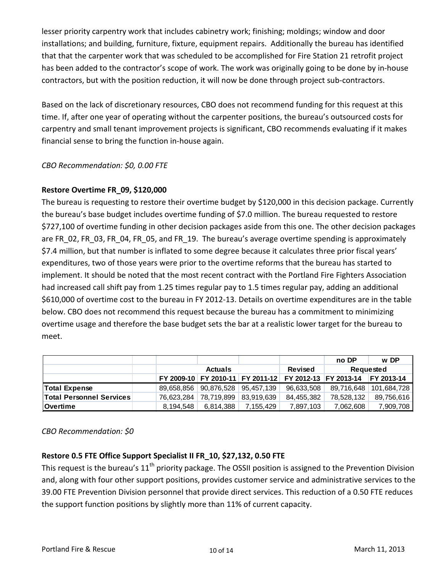lesser priority carpentry work that includes cabinetry work; finishing; moldings; window and door installations; and building, furniture, fixture, equipment repairs. Additionally the bureau has identified that that the carpenter work that was scheduled to be accomplished for Fire Station 21 retrofit project has been added to the contractor's scope of work. The work was originally going to be done by in-house contractors, but with the position reduction, it will now be done through project sub-contractors.

Based on the lack of discretionary resources, CBO does not recommend funding for this request at this time. If, after one year of operating without the carpenter positions, the bureau's outsourced costs for carpentry and small tenant improvement projects is significant, CBO recommends evaluating if it makes financial sense to bring the function in-house again.

## *CBO Recommendation: \$0, 0.00 FTE*

## **Restore Overtime FR\_09, \$120,000**

The bureau is requesting to restore their overtime budget by \$120,000 in this decision package. Currently the bureau's base budget includes overtime funding of \$7.0 million. The bureau requested to restore \$727,100 of overtime funding in other decision packages aside from this one. The other decision packages are FR\_02, FR\_03, FR\_04, FR\_05, and FR\_19. The bureau's average overtime spending is approximately \$7.4 million, but that number is inflated to some degree because it calculates three prior fiscal years' expenditures, two of those years were prior to the overtime reforms that the bureau has started to implement. It should be noted that the most recent contract with the Portland Fire Fighters Association had increased call shift pay from 1.25 times regular pay to 1.5 times regular pay, adding an additional \$610,000 of overtime cost to the bureau in FY 2012-13. Details on overtime expenditures are in the table below. CBO does not recommend this request because the bureau has a commitment to minimizing overtime usage and therefore the base budget sets the bar at a realistic lower target for the bureau to meet.

|                                 |            |                                      |           |            | no DP                                                  | w DP              |  |
|---------------------------------|------------|--------------------------------------|-----------|------------|--------------------------------------------------------|-------------------|--|
|                                 |            | <b>Actuals</b>                       |           | Revised    | Requested                                              |                   |  |
|                                 |            |                                      |           |            | FY 2009-10 FY 2010-11 FY 2011-12 FY 2012-13 FY 2013-14 | <b>FY 2013-14</b> |  |
| Total Expense                   |            | 89.658.856   90.876.528   95.457.139 |           | 96,633,508 | 89,716,648                                             | 101.684.728       |  |
| <b>Total Personnel Services</b> | 76,623,284 | 78,719,899 83,919,639                |           | 84,455,382 | 78,528,132                                             | 89,756,616        |  |
| <b>Overtime</b>                 | 8.194.548  | 6,814,388                            | 7,155,429 | 7,897,103  | 7,062,608                                              | 7,909,708         |  |

#### *CBO Recommendation: \$0*

## **Restore 0.5 FTE Office Support Specialist II FR\_10, \$27,132, 0.50 FTE**

This request is the bureau's  $11<sup>th</sup>$  priority package. The OSSII position is assigned to the Prevention Division and, along with four other support positions, provides customer service and administrative services to the 39.00 FTE Prevention Division personnel that provide direct services. This reduction of a 0.50 FTE reduces the support function positions by slightly more than 11% of current capacity.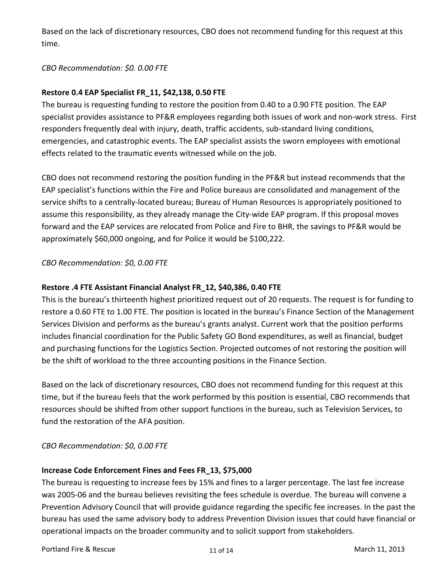Based on the lack of discretionary resources, CBO does not recommend funding for this request at this time.

## *CBO Recommendation: \$0. 0.00 FTE*

## **Restore 0.4 EAP Specialist FR\_11, \$42,138, 0.50 FTE**

The bureau is requesting funding to restore the position from 0.40 to a 0.90 FTE position. The EAP specialist provides assistance to PF&R employees regarding both issues of work and non-work stress. First responders frequently deal with injury, death, traffic accidents, sub-standard living conditions, emergencies, and catastrophic events. The EAP specialist assists the sworn employees with emotional effects related to the traumatic events witnessed while on the job.

CBO does not recommend restoring the position funding in the PF&R but instead recommends that the EAP specialist's functions within the Fire and Police bureaus are consolidated and management of the service shifts to a centrally-located bureau; Bureau of Human Resources is appropriately positioned to assume this responsibility, as they already manage the City-wide EAP program. If this proposal moves forward and the EAP services are relocated from Police and Fire to BHR, the savings to PF&R would be approximately \$60,000 ongoing, and for Police it would be \$100,222.

## *CBO Recommendation: \$0, 0.00 FTE*

#### **Restore .4 FTE Assistant Financial Analyst FR\_12, \$40,386, 0.40 FTE**

This is the bureau's thirteenth highest prioritized request out of 20 requests. The request is for funding to restore a 0.60 FTE to 1.00 FTE. The position is located in the bureau's Finance Section of the Management Services Division and performs as the bureau's grants analyst. Current work that the position performs includes financial coordination for the Public Safety GO Bond expenditures, as well as financial, budget and purchasing functions for the Logistics Section. Projected outcomes of not restoring the position will be the shift of workload to the three accounting positions in the Finance Section.

Based on the lack of discretionary resources, CBO does not recommend funding for this request at this time, but if the bureau feels that the work performed by this position is essential, CBO recommends that resources should be shifted from other support functions in the bureau, such as Television Services, to fund the restoration of the AFA position.

#### *CBO Recommendation: \$0, 0.00 FTE*

#### **Increase Code Enforcement Fines and Fees FR\_13, \$75,000**

The bureau is requesting to increase fees by 15% and fines to a larger percentage. The last fee increase was 2005-06 and the bureau believes revisiting the fees schedule is overdue. The bureau will convene a Prevention Advisory Council that will provide guidance regarding the specific fee increases. In the past the bureau has used the same advisory body to address Prevention Division issues that could have financial or operational impacts on the broader community and to solicit support from stakeholders.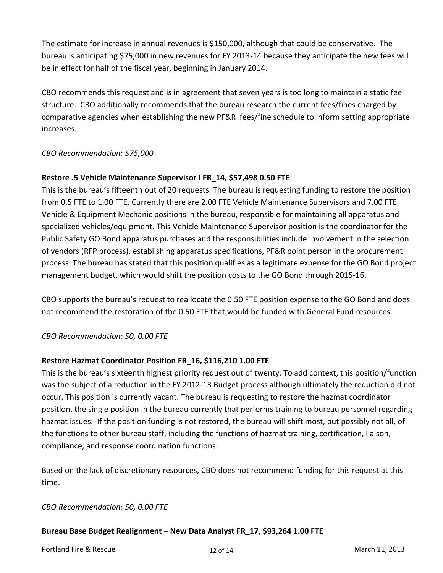The estimate for increase in annual revenues is \$150,000, although that could be conservative. The bureau is anticipating \$75,000 in new revenues for FY 2013-14 because they anticipate the new fees will be in effect for half of the fiscal year, beginning in January 2014.

CBO recommends this request and is in agreement that seven years is too long to maintain a static fee structure. CBO additionally recommends that the bureau research the current fees/fines charged by comparative agencies when establishing the new PF&R fees/fine schedule to inform setting appropriate increases.

## *CBO Recommendation: \$75,000*

## **Restore .5 Vehicle Maintenance Supervisor I FR\_14, \$57,498 0.50 FTE**

This is the bureau's fifteenth out of 20 requests. The bureau is requesting funding to restore the position from 0.5 FTE to 1.00 FTE. Currently there are 2.00 FTE Vehicle Maintenance Supervisors and 7.00 FTE Vehicle & Equipment Mechanic positions in the bureau, responsible for maintaining all apparatus and specialized vehicles/equipment. This Vehicle Maintenance Supervisor position is the coordinator for the Public Safety GO Bond apparatus purchases and the responsibilities include involvement in the selection of vendors (RFP process), establishing apparatus specifications, PF&R point person in the procurement process. The bureau has stated that this position qualifies as a legitimate expense for the GO Bond project management budget, which would shift the position costs to the GO Bond through 2015-16.

CBO supports the bureau's request to reallocate the 0.50 FTE position expense to the GO Bond and does not recommend the restoration of the 0.50 FTE that would be funded with General Fund resources.

## *CBO Recommendation: \$0, 0.00 FTE*

## **Restore Hazmat Coordinator Position FR\_16, \$116,210 1.00 FTE**

This is the bureau's sixteenth highest priority request out of twenty. To add context, this position/function was the subject of a reduction in the FY 2012-13 Budget process although ultimately the reduction did not occur. This position is currently vacant. The bureau is requesting to restore the hazmat coordinator position, the single position in the bureau currently that performs training to bureau personnel regarding hazmat issues. If the position funding is not restored, the bureau will shift most, but possibly not all, of the functions to other bureau staff, including the functions of hazmat training, certification, liaison, compliance, and response coordination functions.

Based on the lack of discretionary resources, CBO does not recommend funding for this request at this time.

## *CBO Recommendation: \$0, 0.00 FTE*

## **Bureau Base Budget Realignment – New Data Analyst FR\_17, \$93,264 1.00 FTE**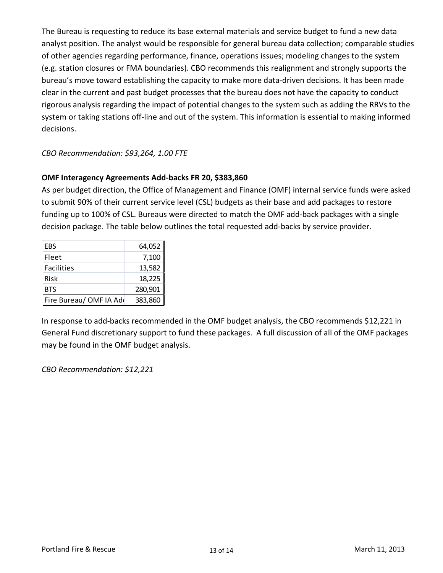The Bureau is requesting to reduce its base external materials and service budget to fund a new data analyst position. The analyst would be responsible for general bureau data collection; comparable studies of other agencies regarding performance, finance, operations issues; modeling changes to the system (e.g. station closures or FMA boundaries). CBO recommends this realignment and strongly supports the bureau's move toward establishing the capacity to make more data-driven decisions. It has been made clear in the current and past budget processes that the bureau does not have the capacity to conduct rigorous analysis regarding the impact of potential changes to the system such as adding the RRVs to the system or taking stations off-line and out of the system. This information is essential to making informed decisions.

## *CBO Recommendation: \$93,264, 1.00 FTE*

## **OMF Interagency Agreements Add-backs FR 20, \$383,860**

As per budget direction, the Office of Management and Finance (OMF) internal service funds were asked to submit 90% of their current service level (CSL) budgets as their base and add packages to restore funding up to 100% of CSL. Bureaus were directed to match the OMF add-back packages with a single decision package. The table below outlines the total requested add-backs by service provider.

| <b>EBS</b>             | 64,052  |
|------------------------|---------|
| Fleet                  | 7,100   |
| <b>Facilities</b>      | 13,582  |
| Risk                   | 18,225  |
| <b>BTS</b>             | 280,901 |
| Fire Bureau/OMF IA Add | 383,860 |

In response to add-backs recommended in the OMF budget analysis, the CBO recommends \$12,221 in General Fund discretionary support to fund these packages. A full discussion of all of the OMF packages may be found in the OMF budget analysis.

*CBO Recommendation: \$12,221*